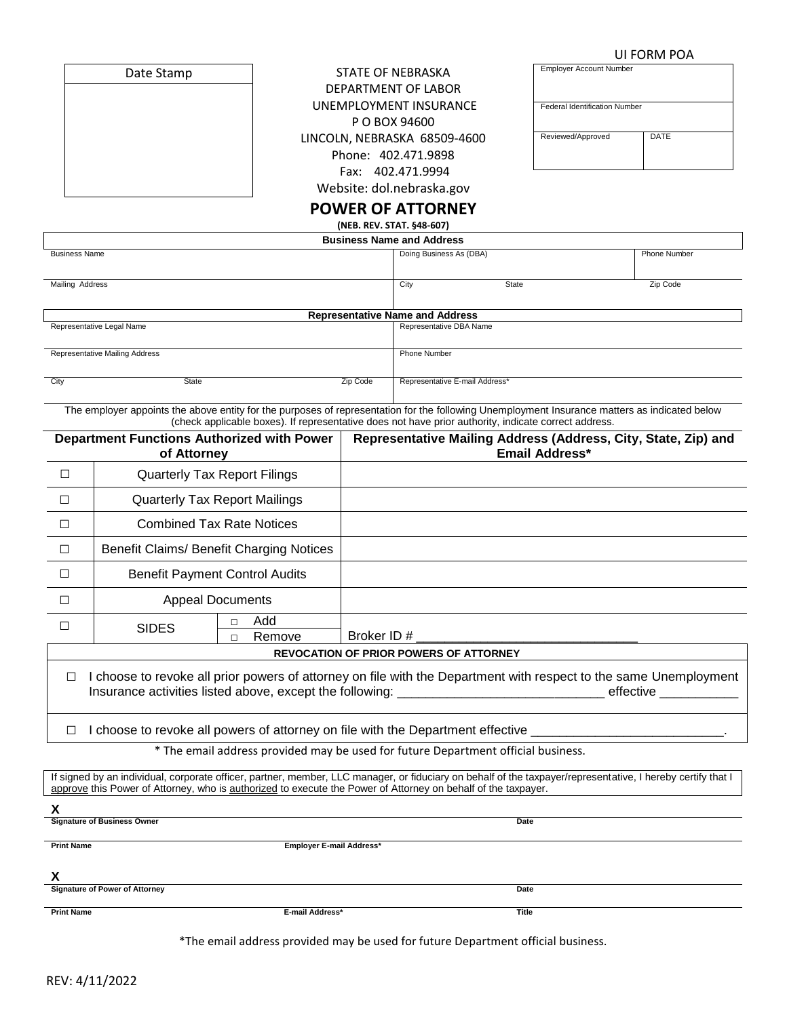# **UI FORM POA**<br>Employer Account Number

| Date Stamp |  |  |
|------------|--|--|
|            |  |  |
|            |  |  |

Date Stamp **Employer Account Number** STATE OF NEBRASKA DEPARTMENT OF LABOR UNEMPLOYMENT INSURAN P O BOX 94600 LINCOLN, NEBRASKA 68509-4 Phone: 402.471.9898 Fax: 402.471.9994 Website: dol.nebraska.gov

#### **POWER OF ATTORNEY (NEB. REV. STAT. §48-607)**

| СE   | <b>Federal Identification Number</b> |             |
|------|--------------------------------------|-------------|
| 1600 | Reviewed/Approved                    | <b>DATE</b> |
|      |                                      |             |

| 1.1.2.1.1.1.1.1.1.1.1.0.0001           |       |          |                                |       |              |
|----------------------------------------|-------|----------|--------------------------------|-------|--------------|
| <b>Business Name and Address</b>       |       |          |                                |       |              |
| <b>Business Name</b>                   |       |          | Doing Business As (DBA)        |       | Phone Number |
|                                        |       |          |                                |       |              |
| Mailing Address                        |       |          | City                           | State | Zip Code     |
|                                        |       |          |                                |       |              |
| <b>Representative Name and Address</b> |       |          |                                |       |              |
| Representative Legal Name              |       |          | Representative DBA Name        |       |              |
|                                        |       |          |                                |       |              |
| Representative Mailing Address         |       |          | <b>Phone Number</b>            |       |              |
|                                        |       |          |                                |       |              |
| City                                   | State | Zip Code | Representative E-mail Address* |       |              |
|                                        |       |          |                                |       |              |

The employer appoints the above entity for the purposes of representation for the following Unemployment Insurance matters as indicated below (check applicable boxes). If representative does not have prior authority, indicate correct address.

| <b>Department Functions Authorized with Power</b><br>of Attorney                                                            |                                          |                               | Representative Mailing Address (Address, City, State, Zip) and<br><b>Email Address*</b> |  |
|-----------------------------------------------------------------------------------------------------------------------------|------------------------------------------|-------------------------------|-----------------------------------------------------------------------------------------|--|
| $\Box$                                                                                                                      | <b>Quarterly Tax Report Filings</b>      |                               |                                                                                         |  |
| $\Box$                                                                                                                      | <b>Quarterly Tax Report Mailings</b>     |                               |                                                                                         |  |
| $\Box$                                                                                                                      | <b>Combined Tax Rate Notices</b>         |                               |                                                                                         |  |
| $\Box$                                                                                                                      | Benefit Claims/ Benefit Charging Notices |                               |                                                                                         |  |
| $\Box$                                                                                                                      | <b>Benefit Payment Control Audits</b>    |                               |                                                                                         |  |
| $\Box$                                                                                                                      | <b>Appeal Documents</b>                  |                               |                                                                                         |  |
| П                                                                                                                           | <b>SIDES</b>                             | Add<br>П.<br>Remove<br>$\Box$ |                                                                                         |  |
| <b>REVOCATION OF PRIOR POWERS OF ATTORNEY</b>                                                                               |                                          |                               |                                                                                         |  |
| I choose to revoke all prior powers of attorney on file with the Department with respect to the same Unemployment<br>$\Box$ |                                          |                               |                                                                                         |  |
| choose to revoke all powers of attorney on file with the Department effective ________________________________<br>$\Box$    |                                          |                               |                                                                                         |  |
| * The email address provided may be used for future Department official business.                                           |                                          |                               |                                                                                         |  |

If signed by an individual, corporate officer, partner, member, LLC manager, or fiduciary on behalf of the taxpayer/representative, I hereby certify that I approve this Power of Attorney, who is authorized to execute the Power of Attorney on behalf of the taxpayer.

**X**

**Signature of Business Owner Date** 

| <b>Print Name</b>                     | Employer E-mail Address* |       |
|---------------------------------------|--------------------------|-------|
|                                       |                          |       |
| v                                     |                          |       |
|                                       |                          |       |
| <b>Signature of Power of Attorney</b> |                          | Date  |
|                                       |                          |       |
| <b>Print Name</b>                     | E-mail Address*          | Title |
|                                       |                          |       |

\*The email address provided may be used for future Department official business.